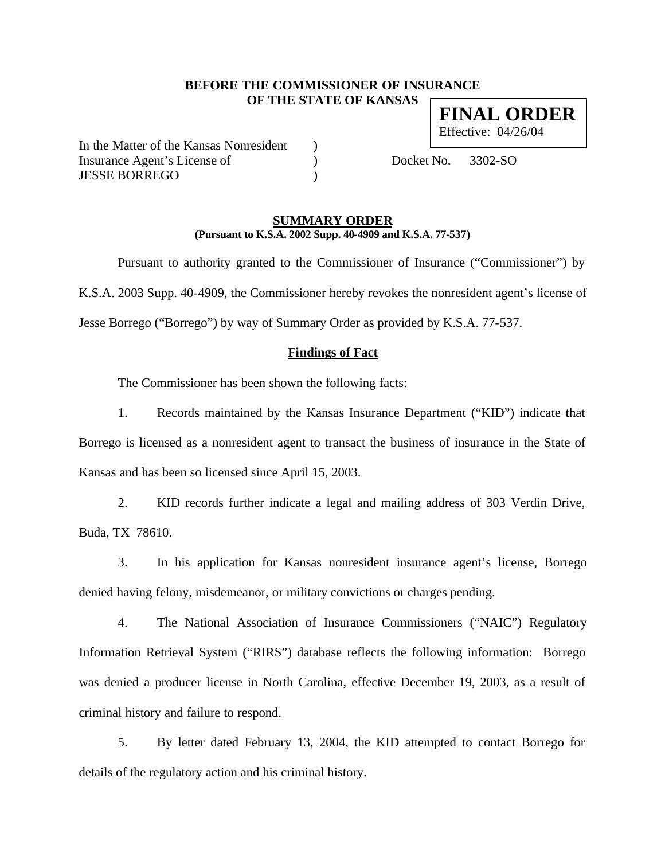# **BEFORE THE COMMISSIONER OF INSURANCE OF THE STATE OF KANSAS FINAL ORDER**

In the Matter of the Kansas Nonresident ) Insurance Agent's License of (a) Docket No. 3302-SO JESSE BORREGO )

Effective: 04/26/04

# **SUMMARY ORDER (Pursuant to K.S.A. 2002 Supp. 40-4909 and K.S.A. 77-537)**

Pursuant to authority granted to the Commissioner of Insurance ("Commissioner") by K.S.A. 2003 Supp. 40-4909, the Commissioner hereby revokes the nonresident agent's license of Jesse Borrego ("Borrego") by way of Summary Order as provided by K.S.A. 77-537.

# **Findings of Fact**

The Commissioner has been shown the following facts:

1. Records maintained by the Kansas Insurance Department ("KID") indicate that Borrego is licensed as a nonresident agent to transact the business of insurance in the State of Kansas and has been so licensed since April 15, 2003.

2. KID records further indicate a legal and mailing address of 303 Verdin Drive, Buda, TX 78610.

3. In his application for Kansas nonresident insurance agent's license, Borrego denied having felony, misdemeanor, or military convictions or charges pending.

4. The National Association of Insurance Commissioners ("NAIC") Regulatory Information Retrieval System ("RIRS") database reflects the following information: Borrego was denied a producer license in North Carolina, effective December 19, 2003, as a result of criminal history and failure to respond.

5. By letter dated February 13, 2004, the KID attempted to contact Borrego for details of the regulatory action and his criminal history.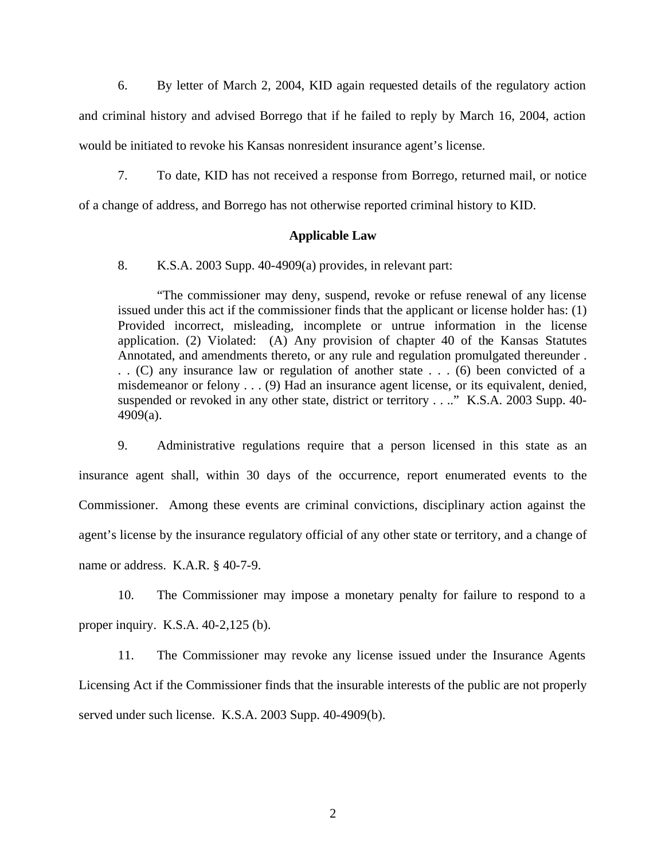6. By letter of March 2, 2004, KID again requested details of the regulatory action and criminal history and advised Borrego that if he failed to reply by March 16, 2004, action would be initiated to revoke his Kansas nonresident insurance agent's license.

7. To date, KID has not received a response from Borrego, returned mail, or notice

of a change of address, and Borrego has not otherwise reported criminal history to KID.

#### **Applicable Law**

8. K.S.A. 2003 Supp. 40-4909(a) provides, in relevant part:

"The commissioner may deny, suspend, revoke or refuse renewal of any license issued under this act if the commissioner finds that the applicant or license holder has: (1) Provided incorrect, misleading, incomplete or untrue information in the license application. (2) Violated: (A) Any provision of chapter 40 of the Kansas Statutes Annotated, and amendments thereto, or any rule and regulation promulgated thereunder . . . (C) any insurance law or regulation of another state . . . (6) been convicted of a misdemeanor or felony . . . (9) Had an insurance agent license, or its equivalent, denied, suspended or revoked in any other state, district or territory . . .." K.S.A. 2003 Supp. 40-4909(a).

9. Administrative regulations require that a person licensed in this state as an insurance agent shall, within 30 days of the occurrence, report enumerated events to the Commissioner. Among these events are criminal convictions, disciplinary action against the agent's license by the insurance regulatory official of any other state or territory, and a change of name or address. K.A.R. § 40-7-9.

10. The Commissioner may impose a monetary penalty for failure to respond to a proper inquiry. K.S.A. 40-2,125 (b).

11. The Commissioner may revoke any license issued under the Insurance Agents Licensing Act if the Commissioner finds that the insurable interests of the public are not properly served under such license. K.S.A. 2003 Supp. 40-4909(b).

2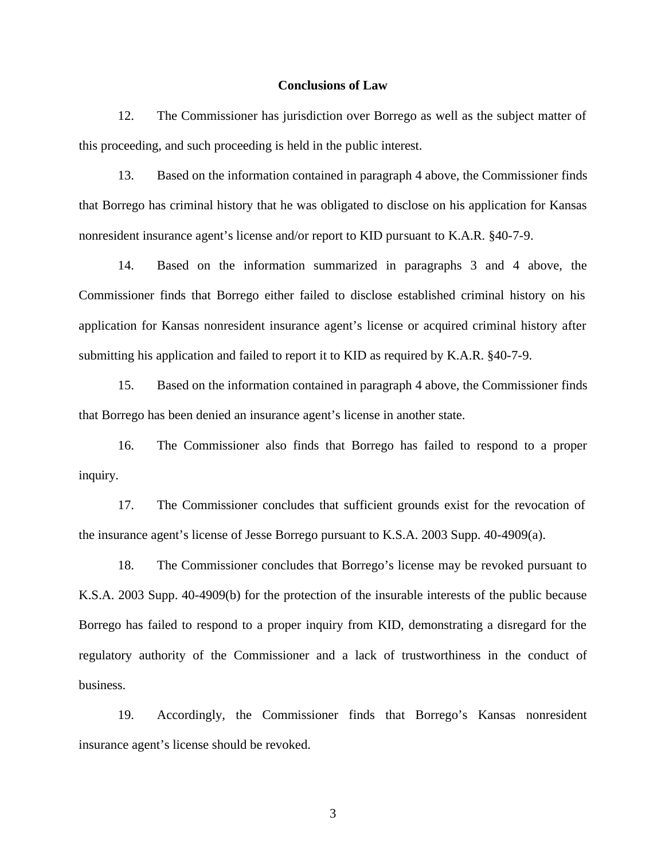#### **Conclusions of Law**

12. The Commissioner has jurisdiction over Borrego as well as the subject matter of this proceeding, and such proceeding is held in the public interest.

13. Based on the information contained in paragraph 4 above, the Commissioner finds that Borrego has criminal history that he was obligated to disclose on his application for Kansas nonresident insurance agent's license and/or report to KID pursuant to K.A.R. §40-7-9.

14. Based on the information summarized in paragraphs 3 and 4 above, the Commissioner finds that Borrego either failed to disclose established criminal history on his application for Kansas nonresident insurance agent's license or acquired criminal history after submitting his application and failed to report it to KID as required by K.A.R. §40-7-9.

15. Based on the information contained in paragraph 4 above, the Commissioner finds that Borrego has been denied an insurance agent's license in another state.

16. The Commissioner also finds that Borrego has failed to respond to a proper inquiry.

17. The Commissioner concludes that sufficient grounds exist for the revocation of the insurance agent's license of Jesse Borrego pursuant to K.S.A. 2003 Supp. 40-4909(a).

18. The Commissioner concludes that Borrego's license may be revoked pursuant to K.S.A. 2003 Supp. 40-4909(b) for the protection of the insurable interests of the public because Borrego has failed to respond to a proper inquiry from KID, demonstrating a disregard for the regulatory authority of the Commissioner and a lack of trustworthiness in the conduct of business.

19. Accordingly, the Commissioner finds that Borrego's Kansas nonresident insurance agent's license should be revoked.

3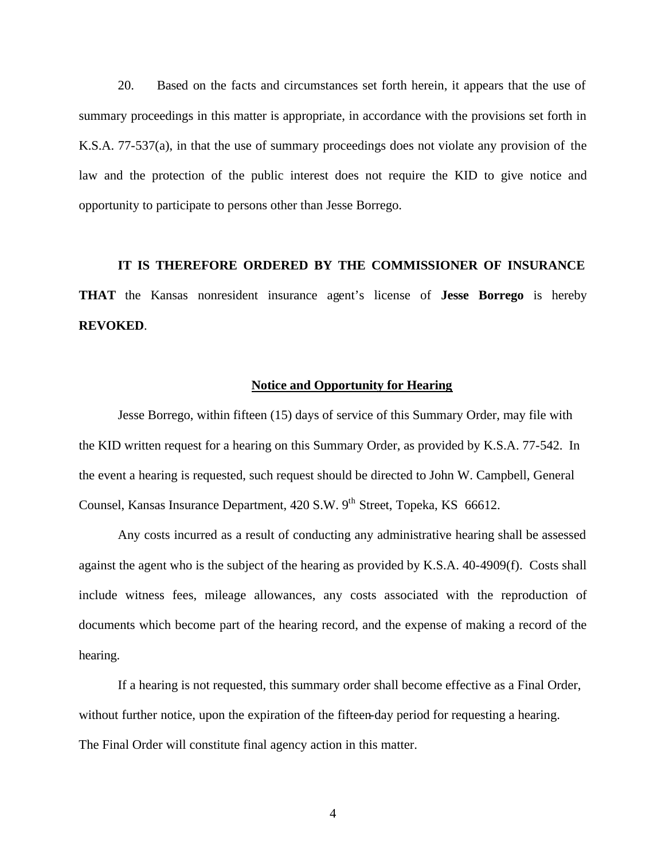20. Based on the facts and circumstances set forth herein, it appears that the use of summary proceedings in this matter is appropriate, in accordance with the provisions set forth in K.S.A. 77-537(a), in that the use of summary proceedings does not violate any provision of the law and the protection of the public interest does not require the KID to give notice and opportunity to participate to persons other than Jesse Borrego.

# **IT IS THEREFORE ORDERED BY THE COMMISSIONER OF INSURANCE**

**THAT** the Kansas nonresident insurance agent's license of **Jesse Borrego** is hereby **REVOKED**.

# **Notice and Opportunity for Hearing**

Jesse Borrego, within fifteen (15) days of service of this Summary Order, may file with the KID written request for a hearing on this Summary Order, as provided by K.S.A. 77-542. In the event a hearing is requested, such request should be directed to John W. Campbell, General Counsel, Kansas Insurance Department, 420 S.W. 9<sup>th</sup> Street, Topeka, KS 66612.

Any costs incurred as a result of conducting any administrative hearing shall be assessed against the agent who is the subject of the hearing as provided by K.S.A. 40-4909(f). Costs shall include witness fees, mileage allowances, any costs associated with the reproduction of documents which become part of the hearing record, and the expense of making a record of the hearing.

If a hearing is not requested, this summary order shall become effective as a Final Order, without further notice, upon the expiration of the fifteen-day period for requesting a hearing. The Final Order will constitute final agency action in this matter.